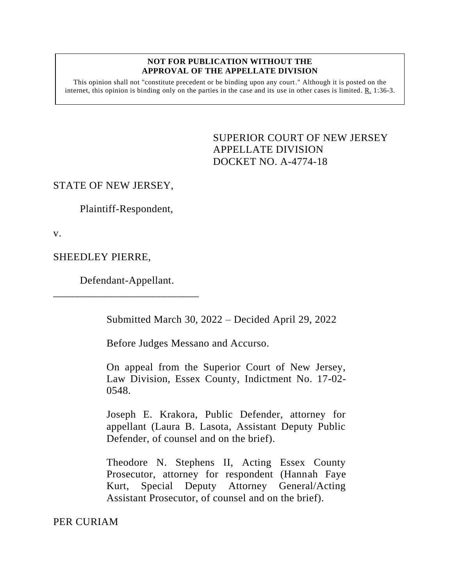#### **NOT FOR PUBLICATION WITHOUT THE APPROVAL OF THE APPELLATE DIVISION**

This opinion shall not "constitute precedent or be binding upon any court." Although it is posted on the internet, this opinion is binding only on the parties in the case and its use in other cases is limited. R. 1:36-3.

> <span id="page-0-0"></span>SUPERIOR COURT OF NEW JERSEY APPELLATE DIVISION DOCKET NO. A-4774-18

# STATE OF NEW JERSEY,

Plaintiff-Respondent,

v.

# SHEEDLEY PIERRE,

Defendant-Appellant. \_\_\_\_\_\_\_\_\_\_\_\_\_\_\_\_\_\_\_\_\_\_\_\_\_\_\_

Submitted March 30, 2022 – Decided April 29, 2022

Before Judges Messano and Accurso.

On appeal from the Superior Court of New Jersey, Law Division, Essex County, Indictment No. 17-02- 0548.

Joseph E. Krakora, Public Defender, attorney for appellant (Laura B. Lasota, Assistant Deputy Public Defender, of counsel and on the brief).

Theodore N. Stephens II, Acting Essex County Prosecutor, attorney for respondent (Hannah Faye Kurt, Special Deputy Attorney General/Acting Assistant Prosecutor, of counsel and on the brief).

PER CURIAM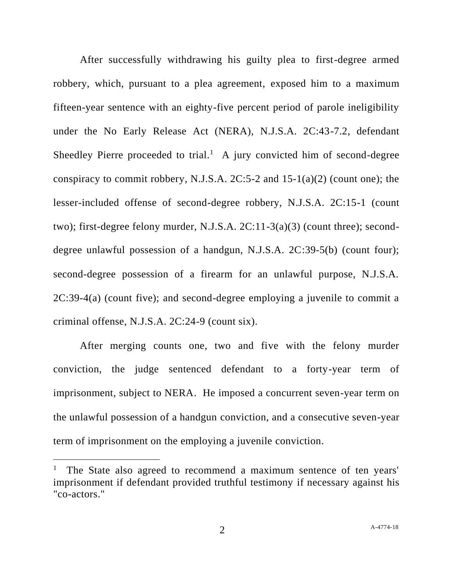After successfully withdrawing his guilty plea to first-degree armed robbery, which, pursuant to a plea agreement, exposed him to a maximum fifteen-year sentence with an eighty-five percent period of parole ineligibility under the No Early Release Act (NERA), N.J.S.A. 2C:43-7.2, defendant Sheedley Pierre proceeded to trial.<sup>1</sup> A jury convicted him of second-degree conspiracy to commit robbery, N.J.S.A.  $2C:5-2$  and  $15-1(a)(2)$  (count one); the lesser-included offense of second-degree robbery, N.J.S.A. 2C:15-1 (count two); first-degree felony murder, N.J.S.A. 2C:11-3(a)(3) (count three); seconddegree unlawful possession of a handgun, N.J.S.A. 2C:39-5(b) (count four); second-degree possession of a firearm for an unlawful purpose, N.J.S.A. 2C:39-4(a) (count five); and second-degree employing a juvenile to commit a criminal offense, N.J.S.A. 2C:24-9 (count six).

After merging counts one, two and five with the felony murder conviction, the judge sentenced defendant to a forty-year term of imprisonment, subject to NERA. He imposed a concurrent seven-year term on the unlawful possession of a handgun conviction, and a consecutive seven-year term of imprisonment on the employing a juvenile conviction.

The State also agreed to recommend a maximum sentence of ten years' imprisonment if defendant provided truthful testimony if necessary against his "co-actors."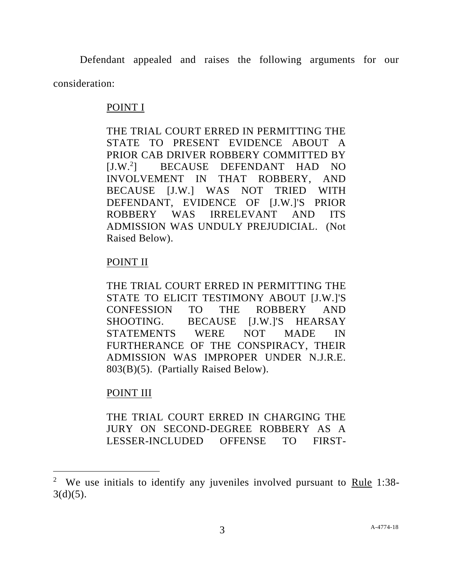Defendant appealed and raises the following arguments for our consideration:

# POINT I

THE TRIAL COURT ERRED IN PERMITTING THE STATE TO PRESENT EVIDENCE ABOUT A PRIOR CAB DRIVER ROBBERY COMMITTED BY  $[J.W.2]$ ] BECAUSE DEFENDANT HAD NO INVOLVEMENT IN THAT ROBBERY, AND BECAUSE [J.W.] WAS NOT TRIED WITH DEFENDANT, EVIDENCE OF [J.W.]'S PRIOR ROBBERY WAS IRRELEVANT AND ITS ADMISSION WAS UNDULY PREJUDICIAL. (Not Raised Below).

# POINT II

THE TRIAL COURT ERRED IN PERMITTING THE STATE TO ELICIT TESTIMONY ABOUT [J.W.]'S CONFESSION TO THE ROBBERY AND SHOOTING. BECAUSE [J.W.]'S HEARSAY STATEMENTS WERE NOT MADE IN FURTHERANCE OF THE CONSPIRACY, THEIR ADMISSION WAS IMPROPER UNDER N.J.R.E. 803(B)(5). (Partially Raised Below).

# POINT III

THE TRIAL COURT ERRED IN CHARGING THE JURY ON SECOND-DEGREE ROBBERY AS A LESSER-INCLUDED OFFENSE TO FIRST-

<sup>&</sup>lt;sup>2</sup> We use initials to identify any juveniles involved pursuant to Rule 1:38- $3(d)(5)$ .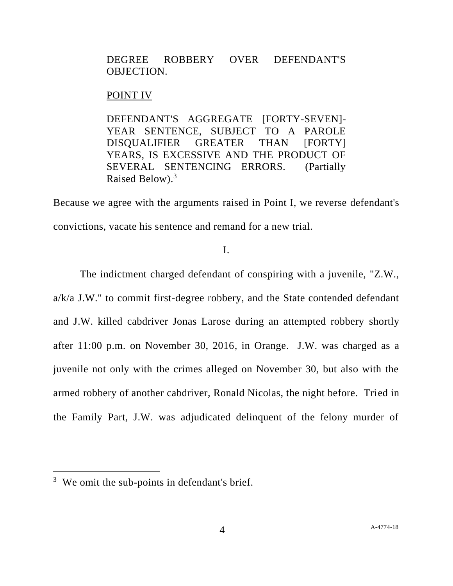# DEGREE ROBBERY OVER DEFENDANT'S OBJECTION.

### POINT IV

DEFENDANT'S AGGREGATE [FORTY-SEVEN]- YEAR SENTENCE, SUBJECT TO A PAROLE DISQUALIFIER GREATER THAN [FORTY] YEARS, IS EXCESSIVE AND THE PRODUCT OF SEVERAL SENTENCING ERRORS. (Partially Raised Below).<sup>3</sup>

Because we agree with the arguments raised in Point I, we reverse defendant's convictions, vacate his sentence and remand for a new trial.

I.

The indictment charged defendant of conspiring with a juvenile, "Z.W., a/k/a J.W." to commit first-degree robbery, and the State contended defendant and J.W. killed cabdriver Jonas Larose during an attempted robbery shortly after 11:00 p.m. on November 30, 2016, in Orange. J.W. was charged as a juvenile not only with the crimes alleged on November 30, but also with the armed robbery of another cabdriver, Ronald Nicolas, the night before. Tried in the Family Part, J.W. was adjudicated delinquent of the felony murder of

<sup>&</sup>lt;sup>3</sup> We omit the sub-points in defendant's brief.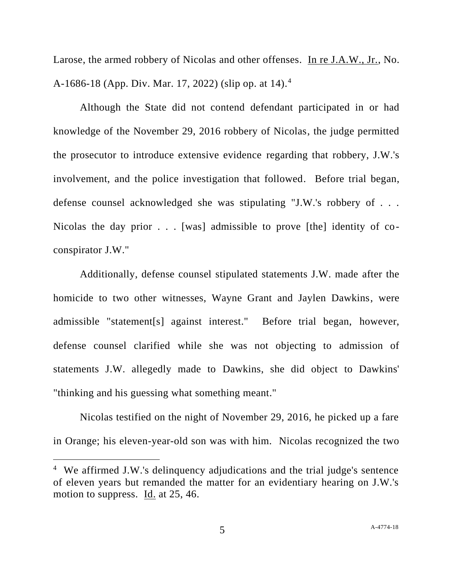Larose, the armed robbery of Nicolas and other offenses. In re J.A.W., Jr., No. A-1686-18 (App. Div. Mar. 17, 2022) (slip op. at  $14$ ).<sup>4</sup>

Although the State did not contend defendant participated in or had knowledge of the November 29, 2016 robbery of Nicolas, the judge permitted the prosecutor to introduce extensive evidence regarding that robbery, J.W.'s involvement, and the police investigation that followed. Before trial began, defense counsel acknowledged she was stipulating "J.W.'s robbery of . . . Nicolas the day prior . . . [was] admissible to prove [the] identity of coconspirator J.W."

Additionally, defense counsel stipulated statements J.W. made after the homicide to two other witnesses, Wayne Grant and Jaylen Dawkins, were admissible "statement[s] against interest." Before trial began, however, defense counsel clarified while she was not objecting to admission of statements J.W. allegedly made to Dawkins, she did object to Dawkins' "thinking and his guessing what something meant."

Nicolas testified on the night of November 29, 2016, he picked up a fare in Orange; his eleven-year-old son was with him. Nicolas recognized the two

<sup>4</sup> We affirmed J.W.'s delinquency adjudications and the trial judge's sentence of eleven years but remanded the matter for an evidentiary hearing on J.W.'s motion to suppress. Id. at 25, 46.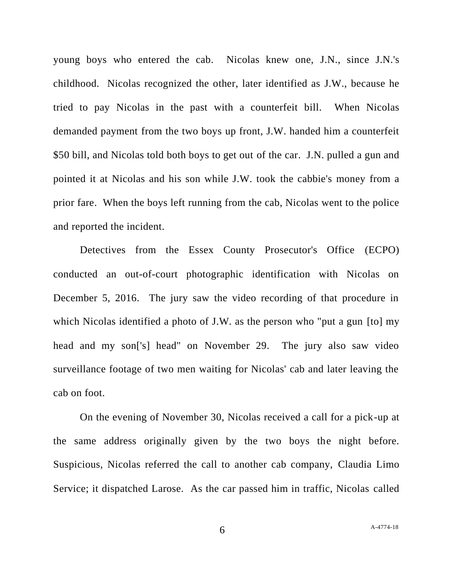young boys who entered the cab. Nicolas knew one, J.N., since J.N.'s childhood. Nicolas recognized the other, later identified as J.W., because he tried to pay Nicolas in the past with a counterfeit bill. When Nicolas demanded payment from the two boys up front, J.W. handed him a counterfeit \$50 bill, and Nicolas told both boys to get out of the car. J.N. pulled a gun and pointed it at Nicolas and his son while J.W. took the cabbie's money from a prior fare. When the boys left running from the cab, Nicolas went to the police and reported the incident.

Detectives from the Essex County Prosecutor's Office (ECPO) conducted an out-of-court photographic identification with Nicolas on December 5, 2016. The jury saw the video recording of that procedure in which Nicolas identified a photo of J.W. as the person who "put a gun [to] my head and my son['s] head" on November 29. The jury also saw video surveillance footage of two men waiting for Nicolas' cab and later leaving the cab on foot.

On the evening of November 30, Nicolas received a call for a pick-up at the same address originally given by the two boys the night before. Suspicious, Nicolas referred the call to another cab company, Claudia Limo Service; it dispatched Larose. As the car passed him in traffic, Nicolas called

6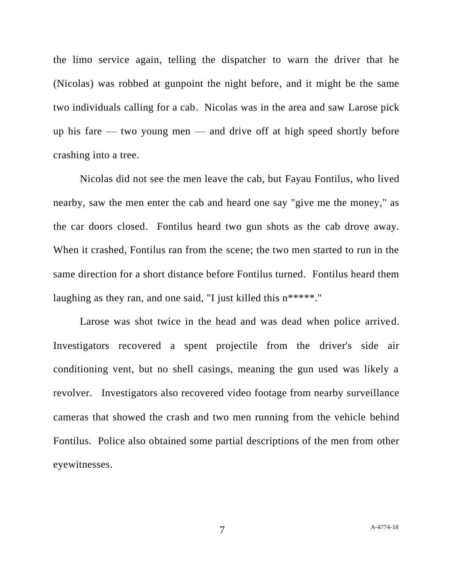the limo service again, telling the dispatcher to warn the driver that he (Nicolas) was robbed at gunpoint the night before, and it might be the same two individuals calling for a cab. Nicolas was in the area and saw Larose pick up his fare — two young men — and drive off at high speed shortly before crashing into a tree.

Nicolas did not see the men leave the cab, but Fayau Fontilus, who lived nearby, saw the men enter the cab and heard one say "give me the money," as the car doors closed. Fontilus heard two gun shots as the cab drove away. When it crashed, Fontilus ran from the scene; the two men started to run in the same direction for a short distance before Fontilus turned. Fontilus heard them laughing as they ran, and one said, "I just killed this  $n^{***}$ ."

Larose was shot twice in the head and was dead when police arrived. Investigators recovered a spent projectile from the driver's side air conditioning vent, but no shell casings, meaning the gun used was likely a revolver. Investigators also recovered video footage from nearby surveillance cameras that showed the crash and two men running from the vehicle behind Fontilus. Police also obtained some partial descriptions of the men from other eyewitnesses.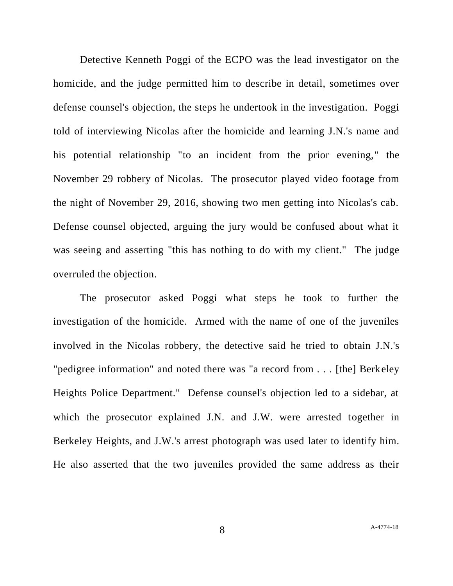Detective Kenneth Poggi of the ECPO was the lead investigator on the homicide, and the judge permitted him to describe in detail, sometimes over defense counsel's objection, the steps he undertook in the investigation. Poggi told of interviewing Nicolas after the homicide and learning J.N.'s name and his potential relationship "to an incident from the prior evening," the November 29 robbery of Nicolas. The prosecutor played video footage from the night of November 29, 2016, showing two men getting into Nicolas's cab. Defense counsel objected, arguing the jury would be confused about what it was seeing and asserting "this has nothing to do with my client." The judge overruled the objection.

The prosecutor asked Poggi what steps he took to further the investigation of the homicide. Armed with the name of one of the juveniles involved in the Nicolas robbery, the detective said he tried to obtain J.N.'s "pedigree information" and noted there was "a record from . . . [the] Berkeley Heights Police Department." Defense counsel's objection led to a sidebar, at which the prosecutor explained J.N. and J.W. were arrested together in Berkeley Heights, and J.W.'s arrest photograph was used later to identify him. He also asserted that the two juveniles provided the same address as their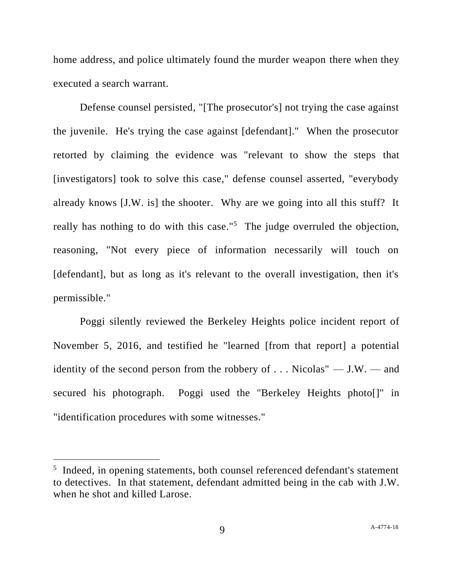home address, and police ultimately found the murder weapon there when they executed a search warrant.

Defense counsel persisted, "[The prosecutor's] not trying the case against the juvenile. He's trying the case against [defendant]." When the prosecutor retorted by claiming the evidence was "relevant to show the steps that [investigators] took to solve this case," defense counsel asserted, "everybody" already knows [J.W. is] the shooter. Why are we going into all this stuff? It really has nothing to do with this case."<sup>5</sup> The judge overruled the objection, reasoning, "Not every piece of information necessarily will touch on [defendant], but as long as it's relevant to the overall investigation, then it's permissible."

Poggi silently reviewed the Berkeley Heights police incident report of November 5, 2016, and testified he "learned [from that report] a potential identity of the second person from the robbery of . . . Nicolas" — J.W. — and secured his photograph. Poggi used the "Berkeley Heights photo[]" in "identification procedures with some witnesses."

<sup>&</sup>lt;sup>5</sup> Indeed, in opening statements, both counsel referenced defendant's statement to detectives. In that statement, defendant admitted being in the cab with J.W. when he shot and killed Larose.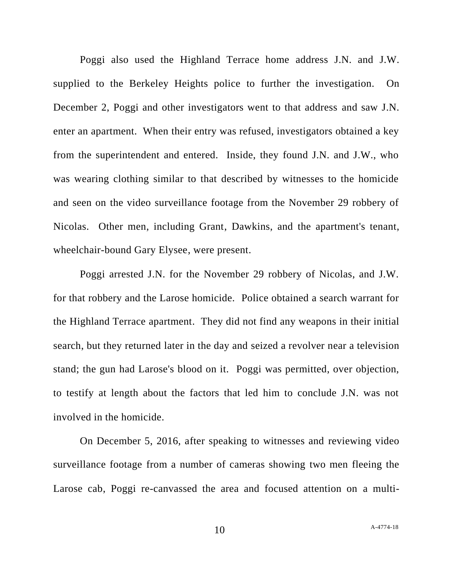Poggi also used the Highland Terrace home address J.N. and J.W. supplied to the Berkeley Heights police to further the investigation. On December 2, Poggi and other investigators went to that address and saw J.N. enter an apartment. When their entry was refused, investigators obtained a key from the superintendent and entered. Inside, they found J.N. and J.W., who was wearing clothing similar to that described by witnesses to the homicide and seen on the video surveillance footage from the November 29 robbery of Nicolas. Other men, including Grant, Dawkins, and the apartment's tenant, wheelchair-bound Gary Elysee, were present.

Poggi arrested J.N. for the November 29 robbery of Nicolas, and J.W. for that robbery and the Larose homicide. Police obtained a search warrant for the Highland Terrace apartment. They did not find any weapons in their initial search, but they returned later in the day and seized a revolver near a television stand; the gun had Larose's blood on it. Poggi was permitted, over objection, to testify at length about the factors that led him to conclude J.N. was not involved in the homicide.

On December 5, 2016, after speaking to witnesses and reviewing video surveillance footage from a number of cameras showing two men fleeing the Larose cab, Poggi re-canvassed the area and focused attention on a multi-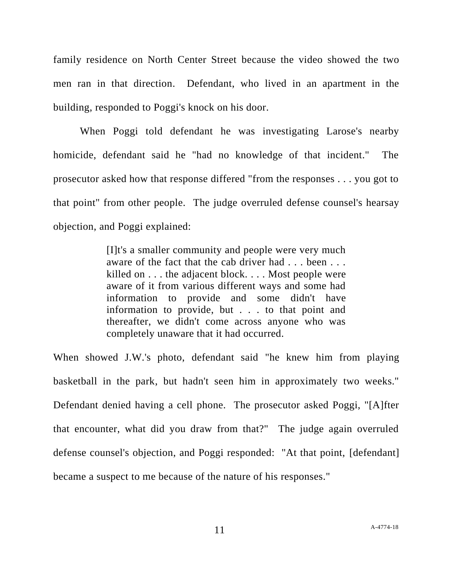family residence on North Center Street because the video showed the two men ran in that direction. Defendant, who lived in an apartment in the building, responded to Poggi's knock on his door.

When Poggi told defendant he was investigating Larose's nearby homicide, defendant said he "had no knowledge of that incident." The prosecutor asked how that response differed "from the responses . . . you got to that point" from other people. The judge overruled defense counsel's hearsay objection, and Poggi explained:

> [I]t's a smaller community and people were very much aware of the fact that the cab driver had . . . been . . . killed on . . . the adjacent block. . . . Most people were aware of it from various different ways and some had information to provide and some didn't have information to provide, but . . . to that point and thereafter, we didn't come across anyone who was completely unaware that it had occurred.

When showed J.W.'s photo, defendant said "he knew him from playing basketball in the park, but hadn't seen him in approximately two weeks." Defendant denied having a cell phone. The prosecutor asked Poggi, "[A]fter that encounter, what did you draw from that?" The judge again overruled defense counsel's objection, and Poggi responded: "At that point, [defendant] became a suspect to me because of the nature of his responses."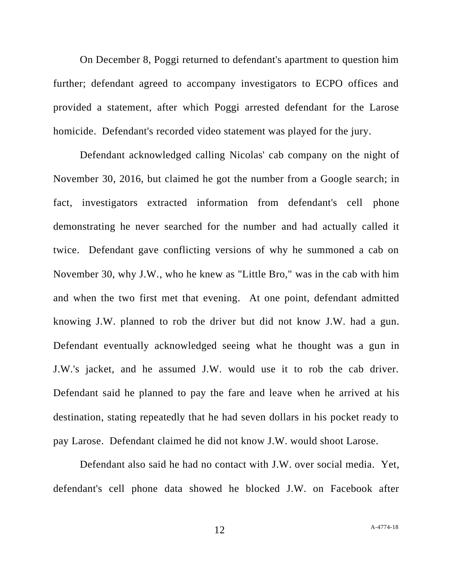On December 8, Poggi returned to defendant's apartment to question him further; defendant agreed to accompany investigators to ECPO offices and provided a statement, after which Poggi arrested defendant for the Larose homicide. Defendant's recorded video statement was played for the jury.

Defendant acknowledged calling Nicolas' cab company on the night of November 30, 2016, but claimed he got the number from a Google search; in fact, investigators extracted information from defendant's cell phone demonstrating he never searched for the number and had actually called it twice. Defendant gave conflicting versions of why he summoned a cab on November 30, why J.W., who he knew as "Little Bro," was in the cab with him and when the two first met that evening. At one point, defendant admitted knowing J.W. planned to rob the driver but did not know J.W. had a gun. Defendant eventually acknowledged seeing what he thought was a gun in J.W.'s jacket, and he assumed J.W. would use it to rob the cab driver. Defendant said he planned to pay the fare and leave when he arrived at his destination, stating repeatedly that he had seven dollars in his pocket ready to pay Larose. Defendant claimed he did not know J.W. would shoot Larose.

Defendant also said he had no contact with J.W. over social media. Yet, defendant's cell phone data showed he blocked J.W. on Facebook after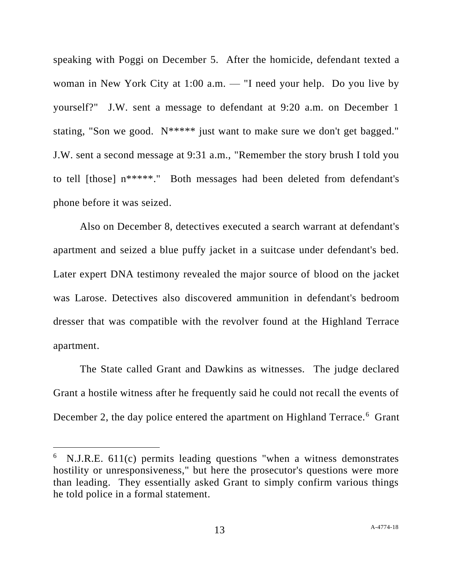speaking with Poggi on December 5. After the homicide, defendant texted a woman in New York City at 1:00 a.m. — "I need your help. Do you live by yourself?" J.W. sent a message to defendant at 9:20 a.m. on December 1 stating, "Son we good. N\*\*\*\*\* just want to make sure we don't get bagged." J.W. sent a second message at 9:31 a.m., "Remember the story brush I told you to tell [those] n\*\*\*\*\*." Both messages had been deleted from defendant's phone before it was seized.

Also on December 8, detectives executed a search warrant at defendant's apartment and seized a blue puffy jacket in a suitcase under defendant's bed. Later expert DNA testimony revealed the major source of blood on the jacket was Larose. Detectives also discovered ammunition in defendant's bedroom dresser that was compatible with the revolver found at the Highland Terrace apartment.

The State called Grant and Dawkins as witnesses. The judge declared Grant a hostile witness after he frequently said he could not recall the events of December 2, the day police entered the apartment on Highland Terrace.<sup>6</sup> Grant

 $6$  N.J.R.E. 611(c) permits leading questions "when a witness demonstrates hostility or unresponsiveness," but here the prosecutor's questions were more than leading. They essentially asked Grant to simply confirm various things he told police in a formal statement.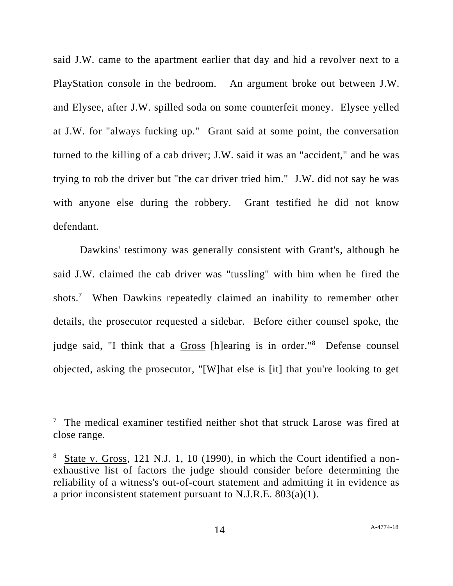said J.W. came to the apartment earlier that day and hid a revolver next to a PlayStation console in the bedroom. An argument broke out between J.W. and Elysee, after J.W. spilled soda on some counterfeit money. Elysee yelled at J.W. for "always fucking up." Grant said at some point, the conversation turned to the killing of a cab driver; J.W. said it was an "accident," and he was trying to rob the driver but "the car driver tried him." J.W. did not say he was with anyone else during the robbery. Grant testified he did not know defendant.

Dawkins' testimony was generally consistent with Grant's, although he said J.W. claimed the cab driver was "tussling" with him when he fired the shots.<sup>7</sup> When Dawkins repeatedly claimed an inability to remember other details, the prosecutor requested a sidebar. Before either counsel spoke, the judge said, "I think that a Gross [h]earing is in order."<sup>8</sup> Defense counsel objected, asking the prosecutor, "[W]hat else is [it] that you're looking to get

 $<sup>7</sup>$  The medical examiner testified neither shot that struck Larose was fired at</sup> close range.

<sup>8</sup> State v. Gross, 121 N.J. 1, 10 (1990), in which the Court identified a nonexhaustive list of factors the judge should consider before determining the reliability of a witness's out-of-court statement and admitting it in evidence as a prior inconsistent statement pursuant to N.J.R.E. 803(a)(1).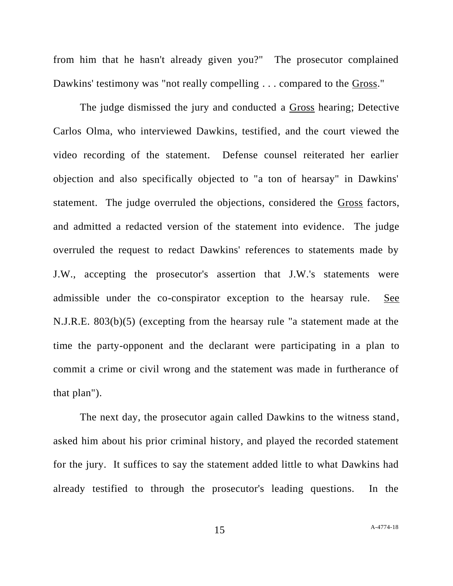from him that he hasn't already given you?" The prosecutor complained Dawkins' testimony was "not really compelling . . . compared to the Gross."

The judge dismissed the jury and conducted a Gross hearing; Detective Carlos Olma, who interviewed Dawkins, testified, and the court viewed the video recording of the statement. Defense counsel reiterated her earlier objection and also specifically objected to "a ton of hearsay" in Dawkins' statement. The judge overruled the objections, considered the Gross factors, and admitted a redacted version of the statement into evidence. The judge overruled the request to redact Dawkins' references to statements made by J.W., accepting the prosecutor's assertion that J.W.'s statements were admissible under the co-conspirator exception to the hearsay rule. See N.J.R.E. 803(b)(5) (excepting from the hearsay rule "a statement made at the time the party-opponent and the declarant were participating in a plan to commit a crime or civil wrong and the statement was made in furtherance of that plan").

The next day, the prosecutor again called Dawkins to the witness stand, asked him about his prior criminal history, and played the recorded statement for the jury. It suffices to say the statement added little to what Dawkins had already testified to through the prosecutor's leading questions. In the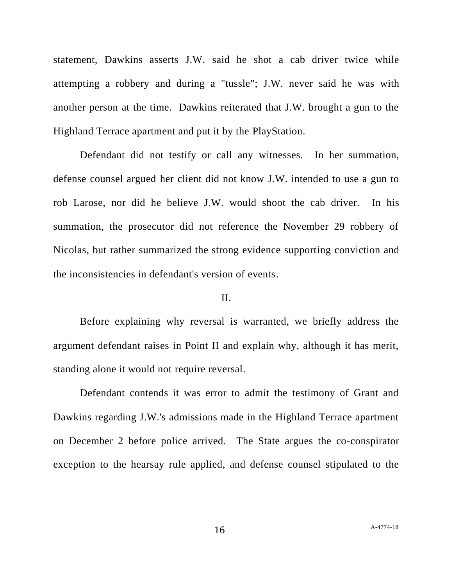statement, Dawkins asserts J.W. said he shot a cab driver twice while attempting a robbery and during a "tussle"; J.W. never said he was with another person at the time. Dawkins reiterated that J.W. brought a gun to the Highland Terrace apartment and put it by the PlayStation.

Defendant did not testify or call any witnesses. In her summation, defense counsel argued her client did not know J.W. intended to use a gun to rob Larose, nor did he believe J.W. would shoot the cab driver. In his summation, the prosecutor did not reference the November 29 robbery of Nicolas, but rather summarized the strong evidence supporting conviction and the inconsistencies in defendant's version of events.

#### II.

Before explaining why reversal is warranted, we briefly address the argument defendant raises in Point II and explain why, although it has merit, standing alone it would not require reversal.

Defendant contends it was error to admit the testimony of Grant and Dawkins regarding J.W.'s admissions made in the Highland Terrace apartment on December 2 before police arrived. The State argues the co-conspirator exception to the hearsay rule applied, and defense counsel stipulated to the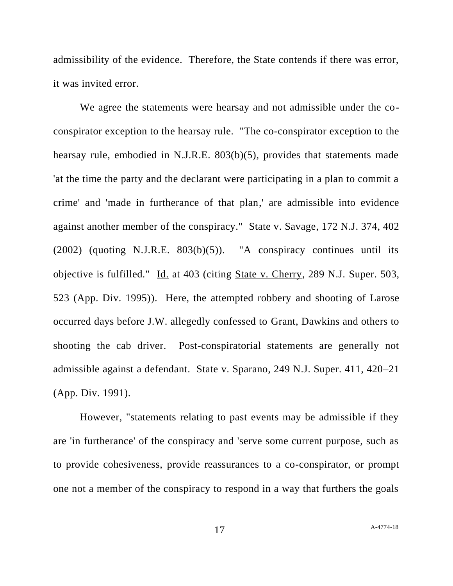admissibility of the evidence. Therefore, the State contends if there was error, it was invited error.

We agree the statements were hearsay and not admissible under the coconspirator exception to the hearsay rule. "The co-conspirator exception to the hearsay rule, embodied in N.J.R.E. 803(b)(5), provides that statements made 'at the time the party and the declarant were participating in a plan to commit a crime' and 'made in furtherance of that plan,' are admissible into evidence against another member of the conspiracy." State v. Savage, 172 N.J. 374, 402  $(2002)$  (quoting N.J.R.E.  $803(b)(5)$ ). "A conspiracy continues until its objective is fulfilled." Id. at 403 (citing State v. Cherry, 289 N.J. Super. 503, 523 (App. Div. 1995)). Here, the attempted robbery and shooting of Larose occurred days before J.W. allegedly confessed to Grant, Dawkins and others to shooting the cab driver. Post-conspiratorial statements are generally not admissible against a defendant. State v. Sparano, 249 N.J. Super. 411, 420–21 (App. Div. 1991).

However, "statements relating to past events may be admissible if they are 'in furtherance' of the conspiracy and 'serve some current purpose, such as to provide cohesiveness, provide reassurances to a co-conspirator, or prompt one not a member of the conspiracy to respond in a way that furthers the goals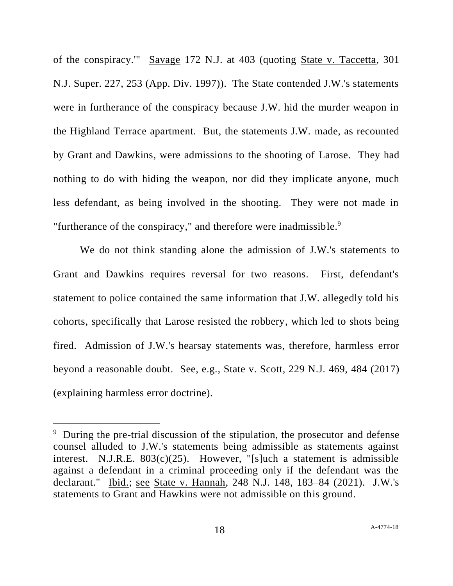of the conspiracy.'" Savage 172 N.J. at 403 (quoting State v. Taccetta, 301 N.J. Super. 227, 253 (App. Div. 1997)). The State contended J.W.'s statements were in furtherance of the conspiracy because J.W. hid the murder weapon in the Highland Terrace apartment. But, the statements J.W. made, as recounted by Grant and Dawkins, were admissions to the shooting of Larose. They had nothing to do with hiding the weapon, nor did they implicate anyone, much less defendant, as being involved in the shooting. They were not made in "furtherance of the conspiracy," and therefore were inadmissible.<sup>9</sup>

We do not think standing alone the admission of J.W.'s statements to Grant and Dawkins requires reversal for two reasons. First, defendant's statement to police contained the same information that J.W. allegedly told his cohorts, specifically that Larose resisted the robbery, which led to shots being fired. Admission of J.W.'s hearsay statements was, therefore, harmless error beyond a reasonable doubt. See, e.g., State v. Scott, 229 N.J. 469, 484 (2017) (explaining harmless error doctrine).

<sup>&</sup>lt;sup>9</sup> During the pre-trial discussion of the stipulation, the prosecutor and defense counsel alluded to J.W.'s statements being admissible as statements against interest. N.J.R.E.  $803(c)(25)$ . However, "[s]uch a statement is admissible against a defendant in a criminal proceeding only if the defendant was the declarant." Ibid.; see State v. Hannah, 248 N.J. 148, 183–84 (2021). J.W.'s statements to Grant and Hawkins were not admissible on this ground.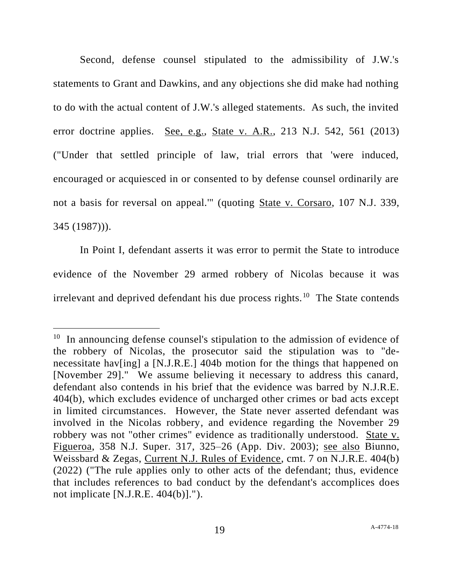Second, defense counsel stipulated to the admissibility of J.W.'s statements to Grant and Dawkins, and any objections she did make had nothing to do with the actual content of J.W.'s alleged statements. As such, the invited error doctrine applies. See, e.g., State v. A.R., 213 N.J. 542, 561 (2013) ("Under that settled principle of law, trial errors that 'were induced, encouraged or acquiesced in or consented to by defense counsel ordinarily are not a basis for reversal on appeal.'" (quoting State v. Corsaro, 107 N.J. 339, 345 (1987))).

In Point I, defendant asserts it was error to permit the State to introduce evidence of the November 29 armed robbery of Nicolas because it was irrelevant and deprived defendant his due process rights.<sup>10</sup> The State contends

<sup>&</sup>lt;sup>10</sup> In announcing defense counsel's stipulation to the admission of evidence of the robbery of Nicolas, the prosecutor said the stipulation was to "denecessitate hav[ing] a [N.J.R.E.] 404b motion for the things that happened on [November 29]." We assume believing it necessary to address this canard, defendant also contends in his brief that the evidence was barred by N.J.R.E. 404(b), which excludes evidence of uncharged other crimes or bad acts except in limited circumstances. However, the State never asserted defendant was involved in the Nicolas robbery, and evidence regarding the November 29 robbery was not "other crimes" evidence as traditionally understood. State v. Figueroa, 358 N.J. Super. 317, 325–26 (App. Div. 2003); see also Biunno, Weissbard & Zegas, Current N.J. Rules of Evidence, cmt. 7 on N.J.R.E. 404(b) (2022) ("The rule applies only to other acts of the defendant; thus, evidence that includes references to bad conduct by the defendant's accomplices does not implicate [N.J.R.E. 404(b)].").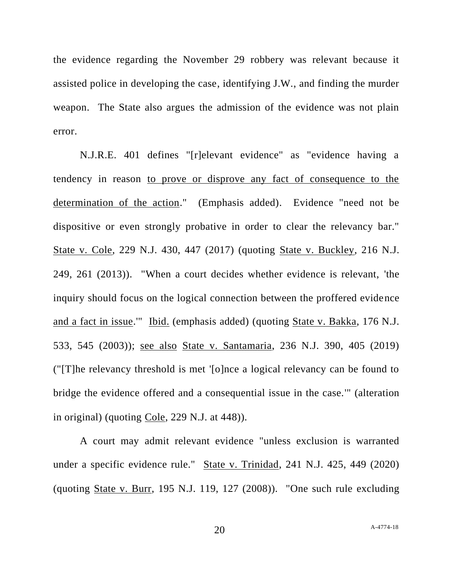the evidence regarding the November 29 robbery was relevant because it assisted police in developing the case, identifying J.W., and finding the murder weapon. The State also argues the admission of the evidence was not plain error.

N.J.R.E. 401 defines "[r]elevant evidence" as "evidence having a tendency in reason to prove or disprove any fact of consequence to the determination of the action." (Emphasis added). Evidence "need not be dispositive or even strongly probative in order to clear the relevancy bar." State v. Cole, 229 N.J. 430, 447 (2017) (quoting State v. Buckley, 216 N.J. 249, 261 (2013)). "When a court decides whether evidence is relevant, 'the inquiry should focus on the logical connection between the proffered evidence and a fact in issue.'" Ibid. (emphasis added) (quoting State v. Bakka, 176 N.J. 533, 545 (2003)); see also State v. Santamaria, 236 N.J. 390, 405 (2019) ("[T]he relevancy threshold is met '[o]nce a logical relevancy can be found to bridge the evidence offered and a consequential issue in the case.'" (alteration in original) (quoting Cole, 229 N.J. at 448)).

A court may admit relevant evidence "unless exclusion is warranted under a specific evidence rule." State v. Trinidad, 241 N.J. 425, 449 (2020) (quoting State v. Burr, 195 N.J. 119, 127 (2008)). "One such rule excluding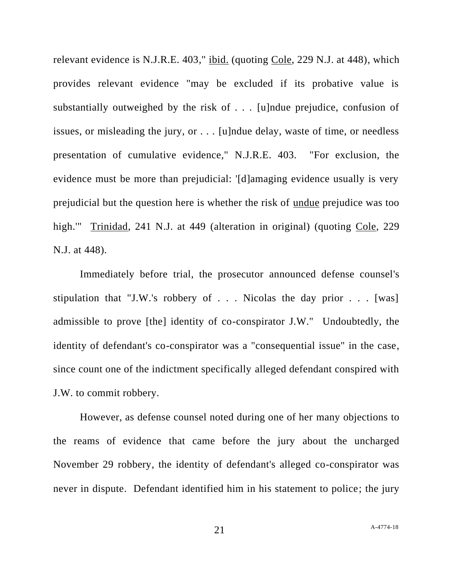relevant evidence is N.J.R.E. 403," ibid. (quoting Cole, 229 N.J. at 448), which provides relevant evidence "may be excluded if its probative value is substantially outweighed by the risk of . . . [u]ndue prejudice, confusion of issues, or misleading the jury, or . . . [u]ndue delay, waste of time, or needless presentation of cumulative evidence," N.J.R.E. 403. "For exclusion, the evidence must be more than prejudicial: '[d]amaging evidence usually is very prejudicial but the question here is whether the risk of undue prejudice was too high.'" Trinidad, 241 N.J. at 449 (alteration in original) (quoting Cole, 229 N.J. at 448).

Immediately before trial, the prosecutor announced defense counsel's stipulation that "J.W.'s robbery of . . . Nicolas the day prior . . . [was] admissible to prove [the] identity of co-conspirator J.W." Undoubtedly, the identity of defendant's co-conspirator was a "consequential issue" in the case, since count one of the indictment specifically alleged defendant conspired with J.W. to commit robbery.

However, as defense counsel noted during one of her many objections to the reams of evidence that came before the jury about the uncharged November 29 robbery, the identity of defendant's alleged co-conspirator was never in dispute. Defendant identified him in his statement to police; the jury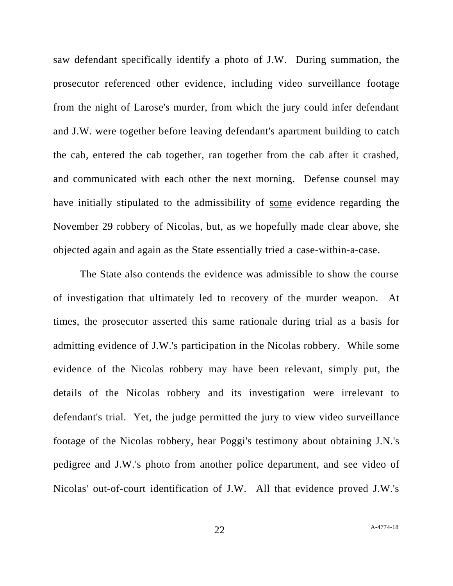saw defendant specifically identify a photo of J.W. During summation, the prosecutor referenced other evidence, including video surveillance footage from the night of Larose's murder, from which the jury could infer defendant and J.W. were together before leaving defendant's apartment building to catch the cab, entered the cab together, ran together from the cab after it crashed, and communicated with each other the next morning. Defense counsel may have initially stipulated to the admissibility of some evidence regarding the November 29 robbery of Nicolas, but, as we hopefully made clear above, she objected again and again as the State essentially tried a case-within-a-case.

The State also contends the evidence was admissible to show the course of investigation that ultimately led to recovery of the murder weapon. At times, the prosecutor asserted this same rationale during trial as a basis for admitting evidence of J.W.'s participation in the Nicolas robbery. While some evidence of the Nicolas robbery may have been relevant, simply put, the details of the Nicolas robbery and its investigation were irrelevant to defendant's trial. Yet, the judge permitted the jury to view video surveillance footage of the Nicolas robbery, hear Poggi's testimony about obtaining J.N.'s pedigree and J.W.'s photo from another police department, and see video of Nicolas' out-of-court identification of J.W. All that evidence proved J.W.'s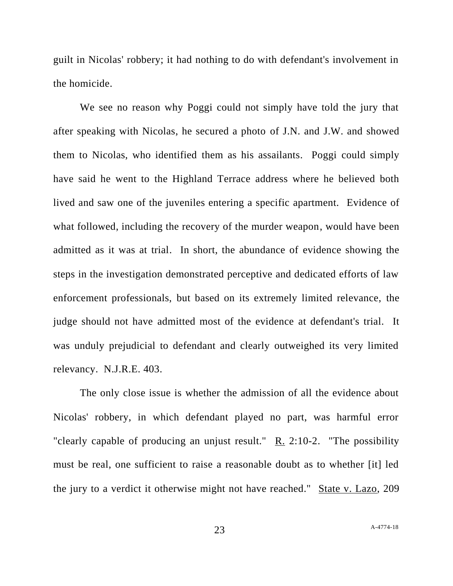guilt in Nicolas' robbery; it had nothing to do with defendant's involvement in the homicide.

We see no reason why Poggi could not simply have told the jury that after speaking with Nicolas, he secured a photo of J.N. and J.W. and showed them to Nicolas, who identified them as his assailants. Poggi could simply have said he went to the Highland Terrace address where he believed both lived and saw one of the juveniles entering a specific apartment. Evidence of what followed, including the recovery of the murder weapon, would have been admitted as it was at trial. In short, the abundance of evidence showing the steps in the investigation demonstrated perceptive and dedicated efforts of law enforcement professionals, but based on its extremely limited relevance, the judge should not have admitted most of the evidence at defendant's trial. It was unduly prejudicial to defendant and clearly outweighed its very limited relevancy. N.J.R.E. 403.

The only close issue is whether the admission of all the evidence about Nicolas' robbery, in which defendant played no part, was harmful error "clearly capable of producing an unjust result." R. 2:10-2. "The possibility must be real, one sufficient to raise a reasonable doubt as to whether [it] led the jury to a verdict it otherwise might not have reached." State v. Lazo, 209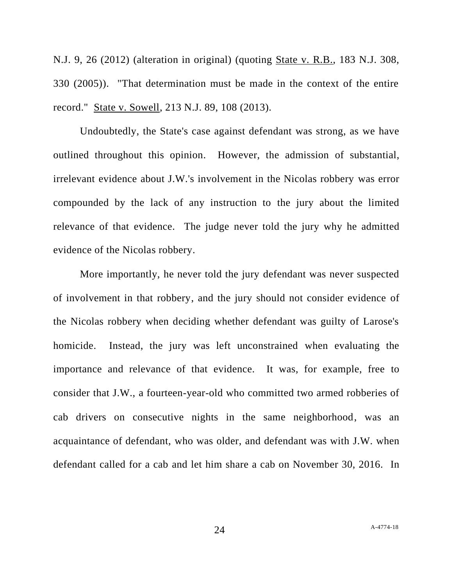N.J. 9, 26 (2012) (alteration in original) (quoting State v. R.B., 183 N.J. 308, 330 (2005)). "That determination must be made in the context of the entire record." State v. Sowell, 213 N.J. 89, 108 (2013).

Undoubtedly, the State's case against defendant was strong, as we have outlined throughout this opinion. However, the admission of substantial, irrelevant evidence about J.W.'s involvement in the Nicolas robbery was error compounded by the lack of any instruction to the jury about the limited relevance of that evidence. The judge never told the jury why he admitted evidence of the Nicolas robbery.

More importantly, he never told the jury defendant was never suspected of involvement in that robbery, and the jury should not consider evidence of the Nicolas robbery when deciding whether defendant was guilty of Larose's homicide. Instead, the jury was left unconstrained when evaluating the importance and relevance of that evidence. It was, for example, free to consider that J.W., a fourteen-year-old who committed two armed robberies of cab drivers on consecutive nights in the same neighborhood, was an acquaintance of defendant, who was older, and defendant was with J.W. when defendant called for a cab and let him share a cab on November 30, 2016. In